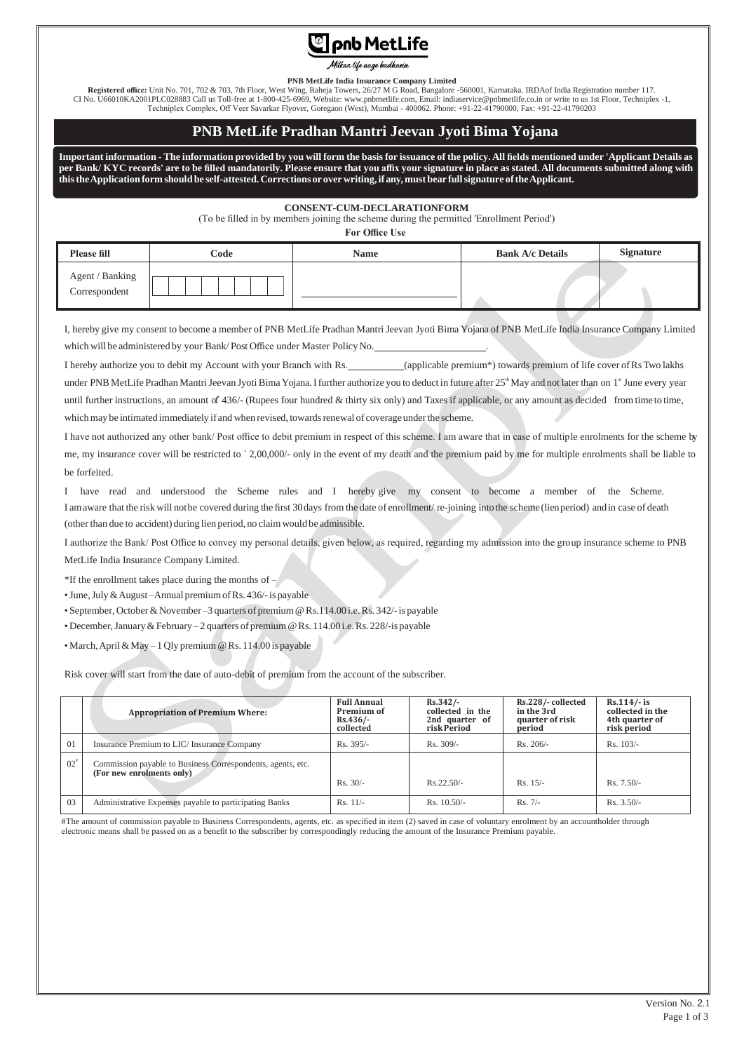# **C** pnb MetLife

Milkar life aage badhaein

#### **PNB MetLife India Insurance Company Limited**

**Registered office:** Unit No. 701, 702 & 703, 7th Floor, West Wing, Raheja Towers, 26/27 M G Road, Bangalore -560001, Karnataka. IRDAof India Registration number 117. CI No. U66010KA2001PLC028883 Call us Toll-free at 1-800-425-6969, Website[: www.pnbmetlife.com,](http://www.pnbmetlife.com/) Email[: indiaservice@pnbmetlife.co.in](mailto:indiaservice@pnbmetlife.co.in) or write to us 1st Floor, Techniplex -1,<br>Techniplex Complex, Off Veer Savarkar Flyover, Go

## **PNB MetLife Pradhan Mantri Jeevan Jyoti Bima Yojana**

Important information - The information provided by you will form the basis for issuance of the policy. All fields mentioned under 'Applicant Details as per Bank/KYC records' are to be filled mandatorily. Please ensure that you affix your signature in place as stated. All documents submitted along with **thistheApplicationform should be self-attested. Corrections oroverwriting, if any,must bear fullsignature oftheApplicant.**

### **CONSENT-CUM-DECLARATIONFORM**

(To be filled in by members joining the scheme during the permitted 'Enrollment Period')

**For Office Use**

| <b>Please fill</b>               | Code | <b>Name</b> | <b>Bank A/c Details</b> | <b>Signature</b> |
|----------------------------------|------|-------------|-------------------------|------------------|
| Agent / Banking<br>Correspondent |      |             |                         |                  |

I, hereby give my consent to become a member of PNB MetLife Pradhan Mantri Jeevan Jyoti Bima Yojana of PNB MetLife India Insurance Company Limited which will be administered by your Bank/Post Office under Master Policy No.

I hereby authorize you to debit my Account with your Branch with Rs. (applicable premium\*) towards premium of life cover ofRs Two lakhs under PNB MetLife Pradhan Mantri Jeevan Jyoti Bima Yojana. I further authorize you to deduct in future after  $25<sup>th</sup>$  May and not later than on  $1<sup>st</sup>$  June every year until further instructions, an amount of 436/- (Rupees four hundred & thirty six only) and Taxes if applicable, or any amount as decided from time to time, which may be intimated immediately if and when revised, towards renewal of coverage under the scheme.

I have not authorized any other bank/ Post office to debit premium in respect of this scheme. I am aware that in case of multiple enrolments for the scheme by me, my insurance cover will be restricted to ` 2,00,000/- only in the event of my death and the premium paid by me for multiple enrolments shall be liable to be forfeited.

I have read and understood the Scheme rules and I hereby give my consent to become a member of the Scheme. I amaware that the risk will notbe covered during the first 30days from the date of enrollment/ re-joining intothe scheme(lienperiod) andin case of death (other than due to accident) during lien period, no claim would be admissible.

I authorize the Bank/ Post Office to convey my personal details, given below, as required, regarding my admission into the group insurance scheme to PNB MetLife India Insurance Company Limited.

\*If the enrollment takes place during the months of  $-$ 

•June,July &August –Annual premiumofRs. 436/-is payable

• September, October & November –3 quarters of premium @ Rs.114.00 i.e. Rs.  $342/$ -is payable

• December,January&February – 2 quarters of premium@Rs. 114.00 i.e.Rs. 228/-is payable

• March,April&May – 1 Qly premium@Rs. 114.00 is payable

Risk cover will start from the date of auto-debit of premium from the account of the subscriber.

|        | <b>Appropriation of Premium Where:</b>                                                   | <b>Full Annual</b><br>Premium of<br>Rs.436/<br>collected | $Rs.342/-$<br>collected in the<br>2nd quarter of<br>risk Period | Rs.228/-collected<br>in the 3rd<br>quarter of risk<br>period | $Rs.114/- is$<br>collected in the<br>4th quarter of<br>risk period |
|--------|------------------------------------------------------------------------------------------|----------------------------------------------------------|-----------------------------------------------------------------|--------------------------------------------------------------|--------------------------------------------------------------------|
| 01     | Insurance Premium to LIC/ Insurance Company                                              | $Rs. 395/-$                                              | $Rs. 309/-$                                                     | $Rs. 206/-$                                                  | $Rs. 103/-$                                                        |
| $02^*$ | Commission payable to Business Correspondents, agents, etc.<br>(For new enrolments only) | $Rs. 30/-$                                               | $Rs.22.50/-$                                                    | $Rs. 15/-$                                                   | $Rs. 7.50/-$                                                       |
| 03     | Administrative Expenses payable to participating Banks                                   | $Rs. 11/-$                                               | $Rs. 10.50/-$                                                   | $Rs. 7/-$                                                    | $Rs. 3.50/-$                                                       |

#The amount of commission payable to Business Correspondents, agents, etc. as specified in item (2) saved in case of voluntary enrolment by an accountholder through electronic means shall be passed on as a benefit to the subscriber by correspondingly reducing the amount of the Insurance Premium payable.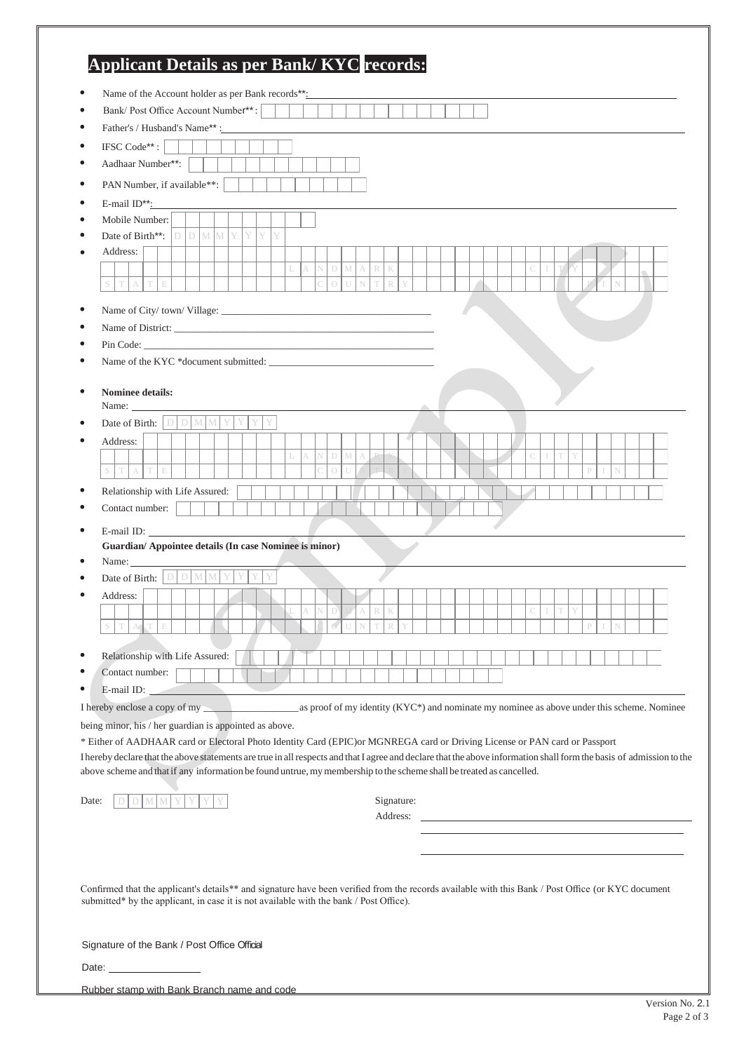| Bank/Post Office Account Number**:                                                                                                                                                                                             | Name of the Account holder as per Bank records**: |   |                                                                                            |   |   |             |        |                  |            |  |  |  |   |   |   |  |  |  |
|--------------------------------------------------------------------------------------------------------------------------------------------------------------------------------------------------------------------------------|---------------------------------------------------|---|--------------------------------------------------------------------------------------------|---|---|-------------|--------|------------------|------------|--|--|--|---|---|---|--|--|--|
|                                                                                                                                                                                                                                |                                                   |   |                                                                                            |   |   |             |        |                  |            |  |  |  |   |   |   |  |  |  |
| Father's / Husband's Name**:                                                                                                                                                                                                   |                                                   |   |                                                                                            |   |   |             |        |                  |            |  |  |  |   |   |   |  |  |  |
| IFSC Code**:                                                                                                                                                                                                                   |                                                   |   |                                                                                            |   |   |             |        |                  |            |  |  |  |   |   |   |  |  |  |
| Aadhaar Number**:                                                                                                                                                                                                              |                                                   |   |                                                                                            |   |   |             |        |                  |            |  |  |  |   |   |   |  |  |  |
| PAN Number, if available**:                                                                                                                                                                                                    |                                                   |   |                                                                                            |   |   |             |        |                  |            |  |  |  |   |   |   |  |  |  |
| E-mail $ID^{**}$ :                                                                                                                                                                                                             |                                                   |   |                                                                                            |   |   |             |        |                  |            |  |  |  |   |   |   |  |  |  |
| Mobile Number:                                                                                                                                                                                                                 |                                                   |   |                                                                                            |   |   |             |        |                  |            |  |  |  |   |   |   |  |  |  |
| Date of Birth**:                                                                                                                                                                                                               | D D M M Y                                         | Y | Y<br>Y                                                                                     |   |   |             |        |                  |            |  |  |  |   |   |   |  |  |  |
| Address:<br>T<br>E                                                                                                                                                                                                             |                                                   |   |                                                                                            |   | N | $\mathbb D$ | M<br>A | $\mathbb R$<br>K |            |  |  |  |   |   |   |  |  |  |
|                                                                                                                                                                                                                                |                                                   |   |                                                                                            |   |   |             |        |                  |            |  |  |  |   |   |   |  |  |  |
|                                                                                                                                                                                                                                |                                                   |   |                                                                                            |   |   |             |        |                  |            |  |  |  |   |   |   |  |  |  |
| Pin Code: New York Code: New York Code: New York Code: New York Code: New York Code: New York Code: New York Code: New York Code: New York Code: New York Code: New York Code: New York Code: New York Code: New York Code: Ne |                                                   |   |                                                                                            |   |   |             |        |                  |            |  |  |  |   |   |   |  |  |  |
|                                                                                                                                                                                                                                |                                                   |   |                                                                                            |   |   |             |        |                  |            |  |  |  |   |   |   |  |  |  |
|                                                                                                                                                                                                                                |                                                   |   |                                                                                            |   |   |             |        |                  |            |  |  |  |   |   |   |  |  |  |
| <b>Nominee details:</b><br>Name: $\_\_$                                                                                                                                                                                        |                                                   |   |                                                                                            |   |   |             |        |                  |            |  |  |  |   |   |   |  |  |  |
| Date of Birth: $\boxed{\Box \Box \Box \Box \Box \Box \Box}$                                                                                                                                                                    |                                                   |   |                                                                                            |   |   |             |        |                  |            |  |  |  |   |   |   |  |  |  |
| Address:                                                                                                                                                                                                                       |                                                   |   |                                                                                            |   |   |             |        |                  |            |  |  |  |   |   |   |  |  |  |
|                                                                                                                                                                                                                                |                                                   |   |                                                                                            |   |   | D           | M      |                  |            |  |  |  |   |   |   |  |  |  |
| T<br>A<br>T<br>$\mathbb E$                                                                                                                                                                                                     |                                                   |   |                                                                                            |   |   |             |        |                  |            |  |  |  |   |   |   |  |  |  |
| Relationship with Life Assured:                                                                                                                                                                                                |                                                   |   |                                                                                            |   |   |             |        |                  |            |  |  |  |   |   |   |  |  |  |
| Contact number:                                                                                                                                                                                                                |                                                   |   |                                                                                            |   |   |             |        |                  |            |  |  |  |   |   |   |  |  |  |
|                                                                                                                                                                                                                                |                                                   |   |                                                                                            |   |   |             |        |                  |            |  |  |  |   |   |   |  |  |  |
|                                                                                                                                                                                                                                |                                                   |   |                                                                                            |   |   |             |        |                  |            |  |  |  |   |   |   |  |  |  |
|                                                                                                                                                                                                                                |                                                   |   |                                                                                            |   |   |             |        |                  |            |  |  |  |   |   |   |  |  |  |
|                                                                                                                                                                                                                                |                                                   |   |                                                                                            | A | N | D           | A      | $\mathbb R$<br>K |            |  |  |  | C | T | Y |  |  |  |
| Address:<br>S                                                                                                                                                                                                                  |                                                   |   |                                                                                            |   |   |             |        |                  |            |  |  |  |   |   |   |  |  |  |
| Guardian/ Appointee details (In case Nominee is minor)                                                                                                                                                                         |                                                   |   |                                                                                            |   |   |             |        |                  |            |  |  |  |   |   |   |  |  |  |
|                                                                                                                                                                                                                                |                                                   |   |                                                                                            |   |   |             |        |                  |            |  |  |  |   |   |   |  |  |  |
| Name: $\_\_$<br>Date of Birth: $\boxed{D \mid D \mid M \mid M}$<br>Relationship with Life Assured:<br>Contact number:<br>E-mail ID:                                                                                            |                                                   |   |                                                                                            |   |   |             |        |                  |            |  |  |  |   |   |   |  |  |  |
| I hereby enclose a copy of my                                                                                                                                                                                                  |                                                   |   | as proof of my identity (KYC*) and nominate my nominee as above under this scheme. Nominee |   |   |             |        |                  |            |  |  |  |   |   |   |  |  |  |
| being minor, his / her guardian is appointed as above.                                                                                                                                                                         |                                                   |   |                                                                                            |   |   |             |        |                  |            |  |  |  |   |   |   |  |  |  |
| * Either of AADHAAR card or Electoral Photo Identity Card (EPIC) or MGNREGA card or Driving License or PAN card or Passport                                                                                                    |                                                   |   |                                                                                            |   |   |             |        |                  |            |  |  |  |   |   |   |  |  |  |
| I hereby declare that the above statements are true in all respects and that I agree and declare that the above information shall form the basis of admission to the                                                           |                                                   |   |                                                                                            |   |   |             |        |                  |            |  |  |  |   |   |   |  |  |  |
| above scheme and that if any information be found untrue, my membership to the scheme shall be treated as cancelled.                                                                                                           |                                                   |   |                                                                                            |   |   |             |        |                  |            |  |  |  |   |   |   |  |  |  |
| $\mathcal M$ $\mathcal M$<br>Date:<br>D                                                                                                                                                                                        |                                                   |   |                                                                                            |   |   |             |        |                  | Signature: |  |  |  |   |   |   |  |  |  |
|                                                                                                                                                                                                                                |                                                   |   |                                                                                            |   |   |             |        |                  | Address:   |  |  |  |   |   |   |  |  |  |
|                                                                                                                                                                                                                                |                                                   |   |                                                                                            |   |   |             |        |                  |            |  |  |  |   |   |   |  |  |  |
|                                                                                                                                                                                                                                |                                                   |   |                                                                                            |   |   |             |        |                  |            |  |  |  |   |   |   |  |  |  |
|                                                                                                                                                                                                                                |                                                   |   |                                                                                            |   |   |             |        |                  |            |  |  |  |   |   |   |  |  |  |
| Confirmed that the applicant's details** and signature have been verified from the records available with this Bank / Post Office (or KYC document                                                                             |                                                   |   |                                                                                            |   |   |             |        |                  |            |  |  |  |   |   |   |  |  |  |
| submitted* by the applicant, in case it is not available with the bank / Post Office).                                                                                                                                         |                                                   |   |                                                                                            |   |   |             |        |                  |            |  |  |  |   |   |   |  |  |  |
|                                                                                                                                                                                                                                |                                                   |   |                                                                                            |   |   |             |        |                  |            |  |  |  |   |   |   |  |  |  |
| Signature of the Bank / Post Office Official                                                                                                                                                                                   |                                                   |   |                                                                                            |   |   |             |        |                  |            |  |  |  |   |   |   |  |  |  |